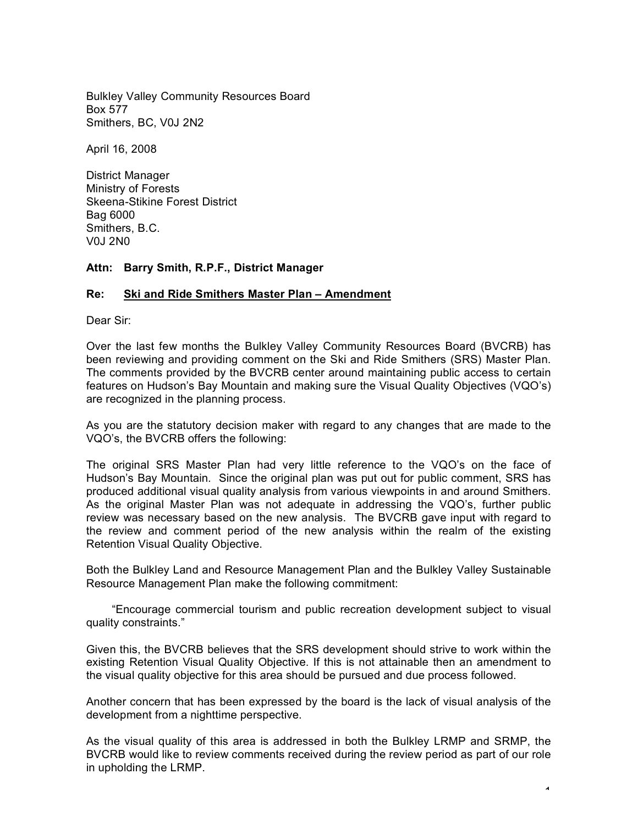Bulkley Valley Community Resources Board Box 577 Smithers, BC, V0J 2N2

April 16, 2008

District Manager Ministry of Forests Skeena-Stikine Forest District Bag 6000 Smithers, B.C. V0J 2N0

## **Attn: Barry Smith, R.P.F., District Manager**

## **Re: Ski and Ride Smithers Master Plan – Amendment**

Dear Sir:

Over the last few months the Bulkley Valley Community Resources Board (BVCRB) has been reviewing and providing comment on the Ski and Ride Smithers (SRS) Master Plan. The comments provided by the BVCRB center around maintaining public access to certain features on Hudson's Bay Mountain and making sure the Visual Quality Objectives (VQO's) are recognized in the planning process.

As you are the statutory decision maker with regard to any changes that are made to the VQO's, the BVCRB offers the following:

The original SRS Master Plan had very little reference to the VQO's on the face of Hudson's Bay Mountain. Since the original plan was put out for public comment, SRS has produced additional visual quality analysis from various viewpoints in and around Smithers. As the original Master Plan was not adequate in addressing the VQO's, further public review was necessary based on the new analysis. The BVCRB gave input with regard to the review and comment period of the new analysis within the realm of the existing Retention Visual Quality Objective.

Both the Bulkley Land and Resource Management Plan and the Bulkley Valley Sustainable Resource Management Plan make the following commitment:

"Encourage commercial tourism and public recreation development subject to visual quality constraints."

Given this, the BVCRB believes that the SRS development should strive to work within the existing Retention Visual Quality Objective. If this is not attainable then an amendment to the visual quality objective for this area should be pursued and due process followed.

Another concern that has been expressed by the board is the lack of visual analysis of the development from a nighttime perspective.

As the visual quality of this area is addressed in both the Bulkley LRMP and SRMP, the BVCRB would like to review comments received during the review period as part of our role in upholding the LRMP.